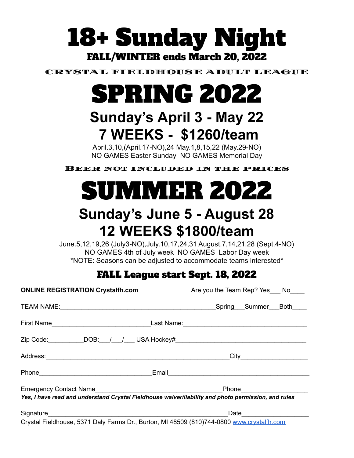# 18+ Sunday Night FALL/WINTER ends March 20, 2022

CRYSTAL FIELDHOUSE ADULT LEAGUE

# SPRING 2022

## **Sunday's April 3 - May 22 7 WEEKS - \$1260/team**

April.3,10,(April.17-NO),24 May.1,8,15,22 (May.29-NO) NO GAMES Easter Sunday NO GAMES Memorial Day

Beer not included in the prices



### **Sunday's June 5 - August 28 12 WEEKS \$1800/team**

June.5,12,19,26 (July3-NO),July.10,17,24,31 August.7,14,21,28 (Sept.4-NO) NO GAMES 4th of July week NO GAMES Labor Day week \*NOTE: Seasons can be adjusted to accommodate teams interested\*

### FALL League start Sept. 18, 2022

| <b>ONLINE REGISTRATION Crystalfh.com</b>                                                            | Are you the Team Rep? Yes ___ No____ |
|-----------------------------------------------------------------------------------------------------|--------------------------------------|
|                                                                                                     |                                      |
|                                                                                                     |                                      |
| Zip Code: ___________DOB:___/___/____ USA Hockey#_______________________________                    |                                      |
|                                                                                                     |                                      |
|                                                                                                     |                                      |
| Yes, I have read and understand Crystal Fieldhouse waiver/liability and photo permission, and rules | Phone_______________________         |
|                                                                                                     |                                      |
| Crystal Fieldhouse, 5371 Daly Farms Dr., Burton, MI 48509 (810)744-0800 www.crystalfh.com           |                                      |